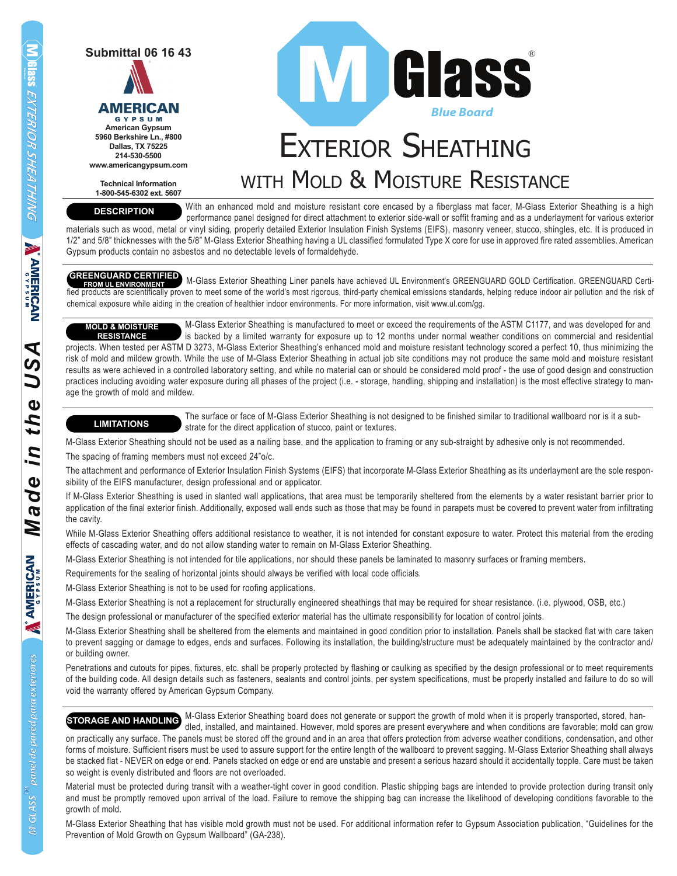**Submittal 06 16 43**



**American Gypsum 5960 Berkshire Ln., #800 Dallas, TX 75225 214-530-5500 www.americangypsum.com**

**Technical Information 1-800-545-6302 ext. 5607**

**DESCRIPTION**



## EXTERIOR SHEATHING WITH MOLD & MOISTURE RESISTANCE

 With an enhanced mold and moisture resistant core encased by a fiberglass mat facer, M-Glass Exterior Sheathing is a high performance panel designed for direct attachment to exterior side-wall or soffit framing and as a underlayment for various exterior

materials such as wood, metal or vinyl siding, properly detailed Exterior Insulation Finish Systems (EIFS), masonry veneer, stucco, shingles, etc. It is produced in 1/2" and 5/8" thicknesses with the 5/8" M-Glass Exterior Sheathing having a UL classified formulated Type X core for use in approved fire rated assemblies. American Gypsum products contain no asbestos and no detectable levels of formaldehyde.

**GREENGUARD CERTIFIED** M-Glass Exterior Sheathing Liner panels have achieved UL Environment's GREENGUARD GOLD Certification. GREENGUARD Certified products are scientifically proven to meet some of the world's most rigorous, third-party chemical emissions standards, helping reduce indoor air pollution and the risk of chemical exposure while aiding in the creation of healthier indoor environments. For more information, visit www.ul.com/gg.

 M-Glass Exterior Sheathing is manufactured to meet or exceed the requirements of the ASTM C1177, and was developed for and is backed by a limited warranty for exposure up to 12 months under normal weather conditions on commercial and residential projects. When tested per ASTM D 3273, M-Glass Exterior Sheathing's enhanced mold and moisture resistant technology scored a perfect 10, thus minimizing the risk of mold and mildew growth. While the use of M-Glass Exterior Sheathing in actual job site conditions may not produce the same mold and moisture resistant results as were achieved in a controlled laboratory setting, and while no material can or should be considered mold proof - the use of good design and construction practices including avoiding water exposure during all phases of the project (i.e. - storage, handling, shipping and installation) is the most effective strategy to manage the growth of mold and mildew. **MOLD & MOISTURE RESISTANCE**

### **LIMITATIONS**

 The surface or face of M-Glass Exterior Sheathing is not designed to be finished similar to traditional wallboard nor is it a sub strate for the direct application of stucco, paint or textures.

M-Glass Exterior Sheathing should not be used as a nailing base, and the application to framing or any sub-straight by adhesive only is not recommended. The spacing of framing members must not exceed 24"o/c.

The attachment and performance of Exterior Insulation Finish Systems (EIFS) that incorporate M-Glass Exterior Sheathing as its underlayment are the sole responsibility of the EIFS manufacturer, design professional and or applicator.

If M-Glass Exterior Sheathing is used in slanted wall applications, that area must be temporarily sheltered from the elements by a water resistant barrier prior to application of the final exterior finish. Additionally, exposed wall ends such as those that may be found in parapets must be covered to prevent water from infiltrating the cavity.

While M-Glass Exterior Sheathing offers additional resistance to weather, it is not intended for constant exposure to water. Protect this material from the eroding effects of cascading water, and do not allow standing water to remain on M-Glass Exterior Sheathing.

M-Glass Exterior Sheathing is not intended for tile applications, nor should these panels be laminated to masonry surfaces or framing members.

Requirements for the sealing of horizontal joints should always be verified with local code officials.

M-Glass Exterior Sheathing is not to be used for roofing applications.

M-Glass Exterior Sheathing is not a replacement for structurally engineered sheathings that may be required for shear resistance. (i.e. plywood, OSB, etc.)

The design professional or manufacturer of the specified exterior material has the ultimate responsibility for location of control joints.

M-Glass Exterior Sheathing shall be sheltered from the elements and maintained in good condition prior to installation. Panels shall be stacked flat with care taken to prevent sagging or damage to edges, ends and surfaces. Following its installation, the building/structure must be adequately maintained by the contractor and/ or building owner.

Penetrations and cutouts for pipes, fixtures, etc. shall be properly protected by flashing or caulking as specified by the design professional or to meet requirements of the building code. All design details such as fasteners, sealants and control joints, per system specifications, must be properly installed and failure to do so will void the warranty offered by American Gypsum Company.

 M-Glass Exterior Sheathing board does not generate or support the growth of mold when it is properly transported, stored, han dled, installed, and maintained. However, mold spores are present everywhere and when conditions are favorable; mold can grow **STORAGE AND HANDLING**

on practically any surface. The panels must be stored off the ground and in an area that offers protection from adverse weather conditions, condensation, and other forms of moisture. Sufficient risers must be used to assure support for the entire length of the wallboard to prevent sagging. M-Glass Exterior Sheathing shall always be stacked flat - NEVER on edge or end. Panels stacked on edge or end are unstable and present a serious hazard should it accidentally topple. Care must be taken so weight is evenly distributed and floors are not overloaded.

Material must be protected during transit with a weather-tight cover in good condition. Plastic shipping bags are intended to provide protection during transit only and must be promptly removed upon arrival of the load. Failure to remove the shipping bag can increase the likelihood of developing conditions favorable to the growth of mold.

M-Glass Exterior Sheathing that has visible mold growth must not be used. For additional information refer to Gypsum Association publication, "Guidelines for the Prevention of Mold Growth on Gypsum Wallboard" (GA-238).